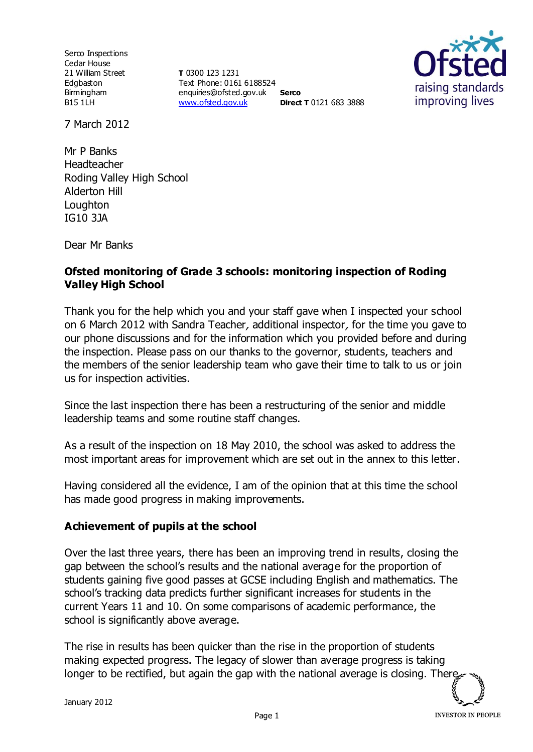Serco Inspections Cedar House 21 William Street Edgbaston Birmingham B15 1LH

**T** 0300 123 1231 Text Phone: 0161 6188524 enquiries@ofsted.gov.uk **Serco** [www.ofsted.gov.uk](http://www.ofsted.gov.uk/) **Direct T** 0121 683 3888



7 March 2012

Mr P Banks Headteacher Roding Valley High School Alderton Hill Loughton IG10 3JA

Dear Mr Banks

#### **Ofsted monitoring of Grade 3 schools: monitoring inspection of Roding Valley High School**

Thank you for the help which you and your staff gave when I inspected your school on 6 March 2012 with Sandra Teacher, additional inspector, for the time you gave to our phone discussions and for the information which you provided before and during the inspection. Please pass on our thanks to the governor, students, teachers and the members of the senior leadership team who gave their time to talk to us or join us for inspection activities.

Since the last inspection there has been a restructuring of the senior and middle leadership teams and some routine staff changes.

As a result of the inspection on 18 May 2010, the school was asked to address the most important areas for improvement which are set out in the annex to this letter.

Having considered all the evidence, I am of the opinion that at this time the school has made good progress in making improvements.

### **Achievement of pupils at the school**

Over the last three years, there has been an improving trend in results, closing the gap between the school's results and the national average for the proportion of students gaining five good passes at GCSE including English and mathematics. The school's tracking data predicts further significant increases for students in the current Years 11 and 10. On some comparisons of academic performance, the school is significantly above average.

The rise in results has been quicker than the rise in the proportion of students making expected progress. The legacy of slower than average progress is taking longer to be rectified, but again the gap with the national average is closing. There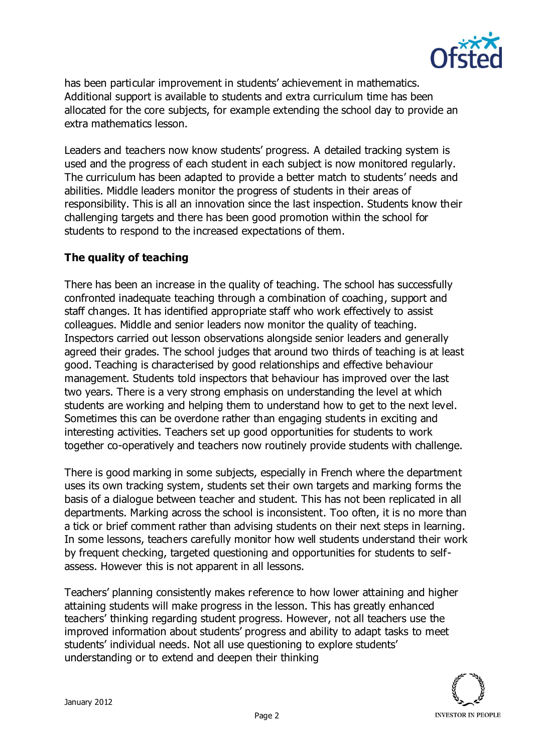

has been particular improvement in students' achievement in mathematics. Additional support is available to students and extra curriculum time has been allocated for the core subjects, for example extending the school day to provide an extra mathematics lesson.

Leaders and teachers now know students' progress. A detailed tracking system is used and the progress of each student in each subject is now monitored regularly. The curriculum has been adapted to provide a better match to students' needs and abilities. Middle leaders monitor the progress of students in their areas of responsibility. This is all an innovation since the last inspection. Students know their challenging targets and there has been good promotion within the school for students to respond to the increased expectations of them.

## **The quality of teaching**

There has been an increase in the quality of teaching. The school has successfully confronted inadequate teaching through a combination of coaching, support and staff changes. It has identified appropriate staff who work effectively to assist colleagues. Middle and senior leaders now monitor the quality of teaching. Inspectors carried out lesson observations alongside senior leaders and generally agreed their grades. The school judges that around two thirds of teaching is at least good. Teaching is characterised by good relationships and effective behaviour management. Students told inspectors that behaviour has improved over the last two years. There is a very strong emphasis on understanding the level at which students are working and helping them to understand how to get to the next level. Sometimes this can be overdone rather than engaging students in exciting and interesting activities. Teachers set up good opportunities for students to work together co-operatively and teachers now routinely provide students with challenge.

There is good marking in some subjects, especially in French where the department uses its own tracking system, students set their own targets and marking forms the basis of a dialogue between teacher and student. This has not been replicated in all departments. Marking across the school is inconsistent. Too often, it is no more than a tick or brief comment rather than advising students on their next steps in learning. In some lessons, teachers carefully monitor how well students understand their work by frequent checking, targeted questioning and opportunities for students to selfassess. However this is not apparent in all lessons.

Teachers' planning consistently makes reference to how lower attaining and higher attaining students will make progress in the lesson. This has greatly enhanced teachers' thinking regarding student progress. However, not all teachers use the improved information about students' progress and ability to adapt tasks to meet students' individual needs. Not all use questioning to explore students' understanding or to extend and deepen their thinking

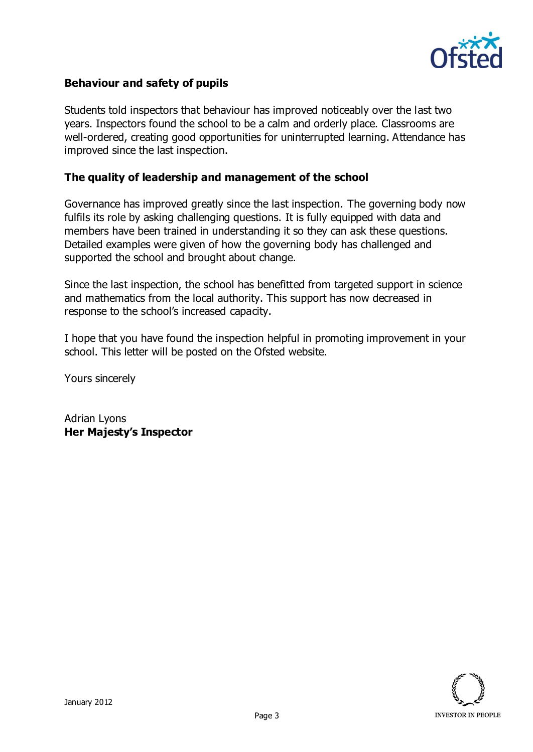

### **Behaviour and safety of pupils**

Students told inspectors that behaviour has improved noticeably over the last two years. Inspectors found the school to be a calm and orderly place. Classrooms are well-ordered, creating good opportunities for uninterrupted learning. Attendance has improved since the last inspection.

#### **The quality of leadership and management of the school**

Governance has improved greatly since the last inspection. The governing body now fulfils its role by asking challenging questions. It is fully equipped with data and members have been trained in understanding it so they can ask these questions. Detailed examples were given of how the governing body has challenged and supported the school and brought about change.

Since the last inspection, the school has benefitted from targeted support in science and mathematics from the local authority. This support has now decreased in response to the school's increased capacity.

I hope that you have found the inspection helpful in promoting improvement in your school. This letter will be posted on the Ofsted website.

Yours sincerely

Adrian Lyons **Her Majesty's Inspector**